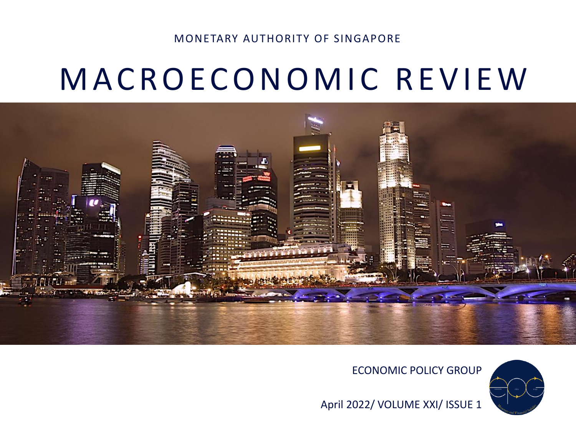#### MONETARY AUTHORITY OF SINGAPORE

# M A C R O E C O N O M I C R E V I E W



ECONOMIC POLICY GROUP



April 2022/ VOLUME XXI/ ISSUE 1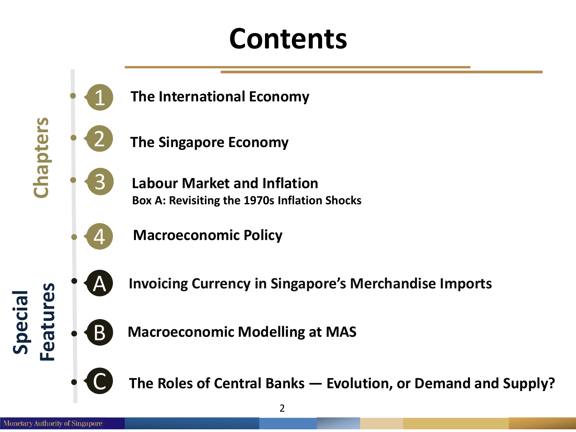# **Contents**





**The Singapore Economy**

**The International Economy**

**Labour Market and Inflation Box A: Revisiting the 1970s Inflation Shocks**



**Macroeconomic Policy**



A **Invoicing Currency in Singapore's Merchandise Imports**



**Macroeconomic Modelling at MAS**



C **The Roles of Central Banks — Evolution, or Demand and Supply?**

**Special**

**Features**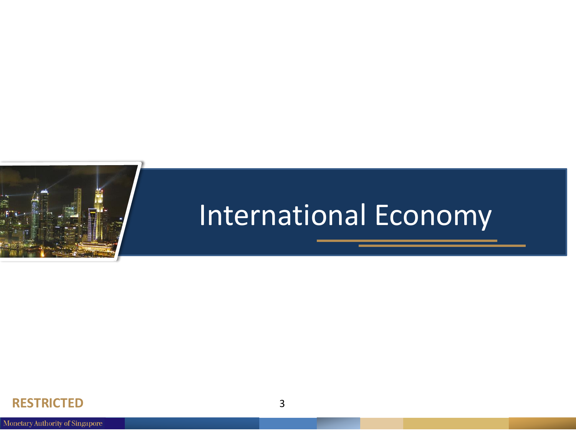

# International Economy

#### **RESTRICTED** 3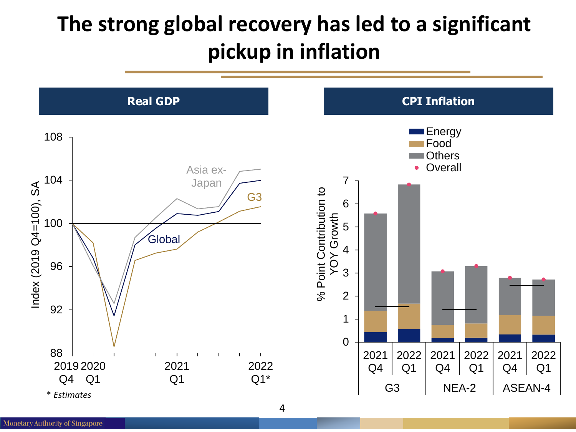## **The strong global recovery has led to a significant pickup in inflation**

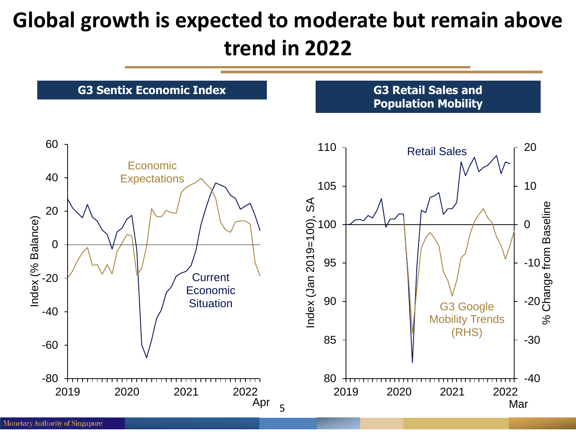### **Global growth is expected to moderate but remain above trend in 2022**

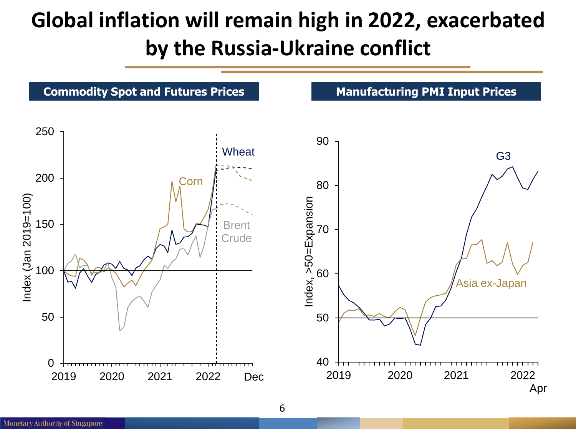## **Global inflation will remain high in 2022, exacerbated by the Russia-Ukraine conflict**



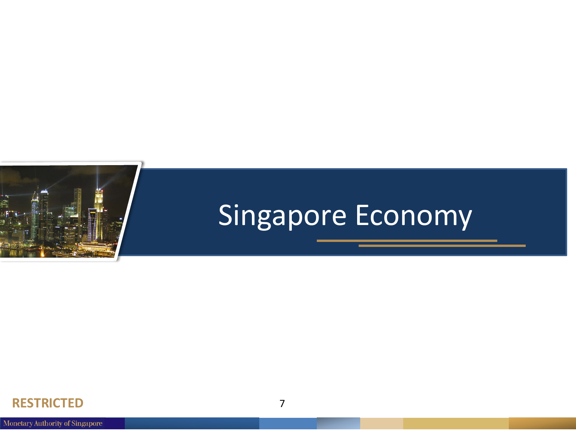

# Singapore Economy

#### **RESTRICTED** 7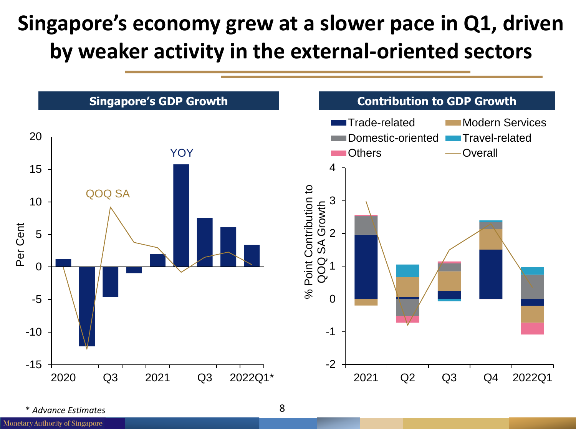## **Singapore's economy grew at a slower pace in Q1, driven by weaker activity in the external-oriented sectors**



\* *Advance Estimates*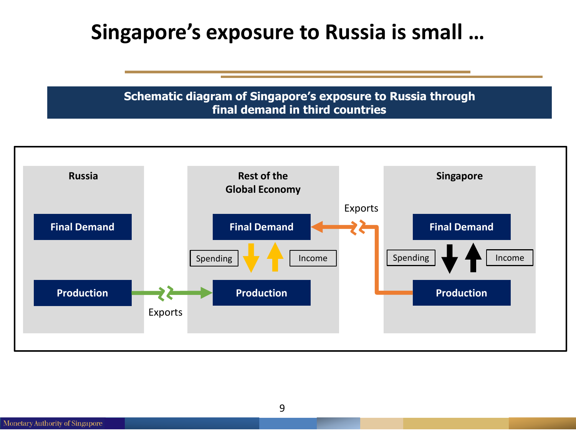#### **Singapore's exposure to Russia is small …**

**Schematic diagram of Singapore's exposure to Russia through final demand in third countries**

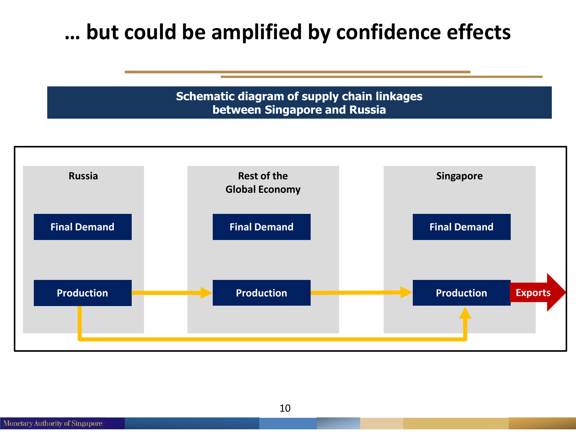#### **… but could be amplified by confidence effects**

**Schematic diagram of supply chain linkages between Singapore and Russia**



**Monetary Authority of Singapore** 

10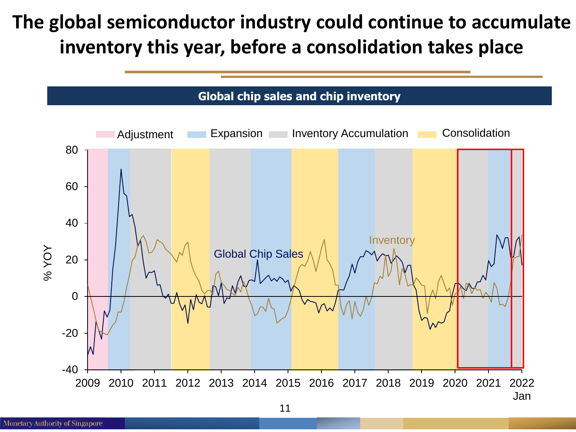#### **The global semiconductor industry could continue to accumulate inventory this year, before a consolidation takes place**

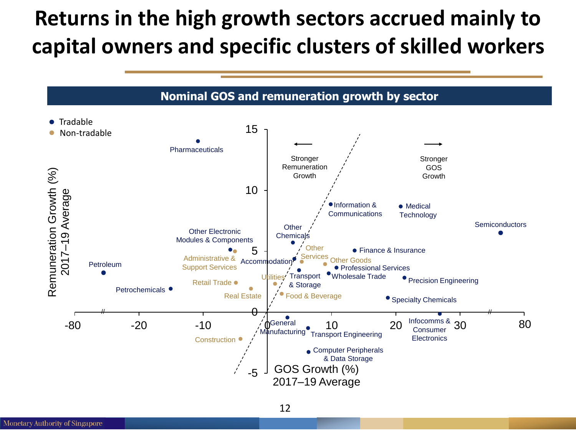### **Returns in the high growth sectors accrued mainly to capital owners and specific clusters of skilled workers**

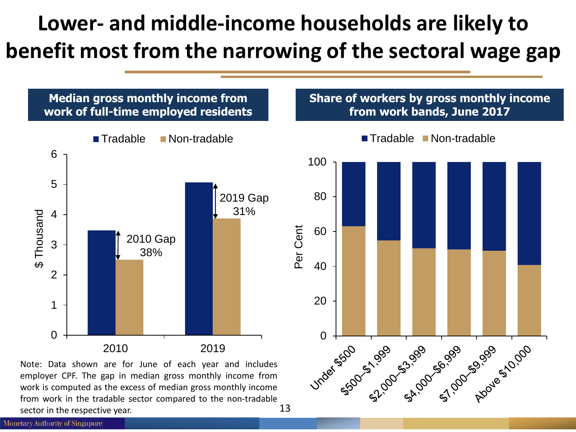## **Lower- and middle-income households are likely to benefit most from the narrowing of the sectoral wage gap**



13 employer CPF. The gap in median gross monthly income from work is computed as the excess of median gross monthly income from work in the tradable sector compared to the non-tradable sector in the respective year.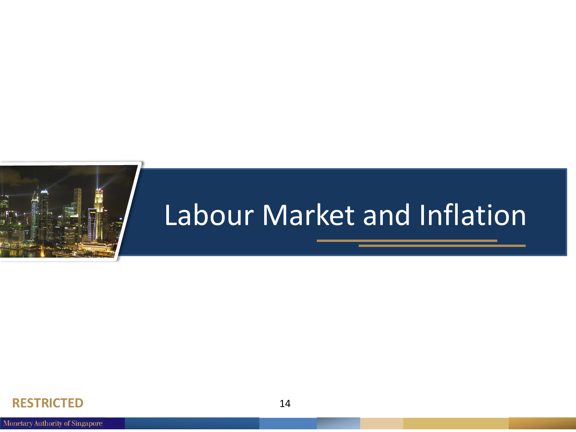

# Labour Market and Inflation

#### **RESTRICTED** 14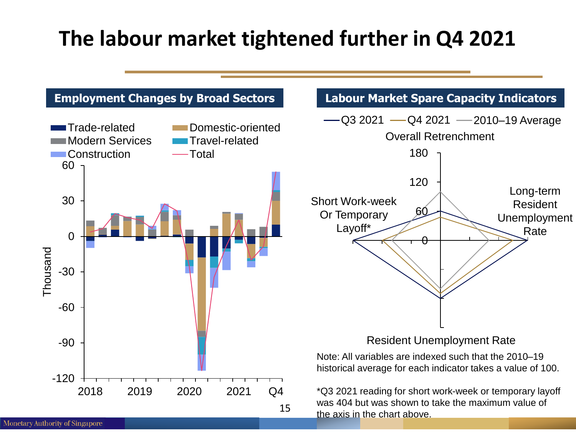### **The labour market tightened further in Q4 2021**

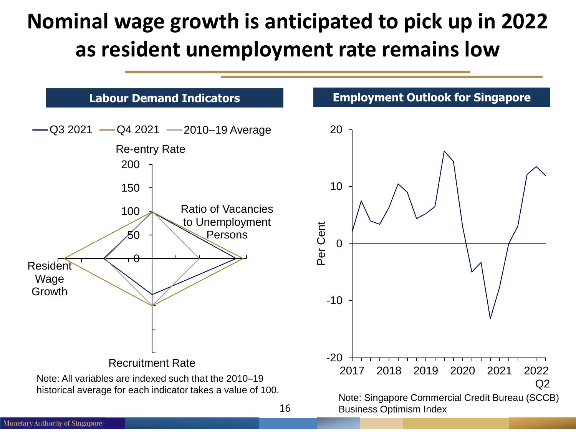### **Nominal wage growth is anticipated to pick up in 2022 as resident unemployment rate remains low**

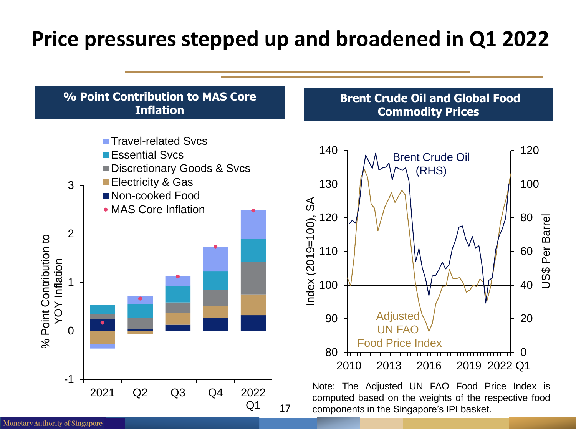### **Price pressures stepped up and broadened in Q1 2022**





#### **Brent Crude Oil and Global Food Commodity Prices**



Note: The Adjusted UN FAO Food Price Index is computed based on the weights of the respective food components in the Singapore's IPI basket.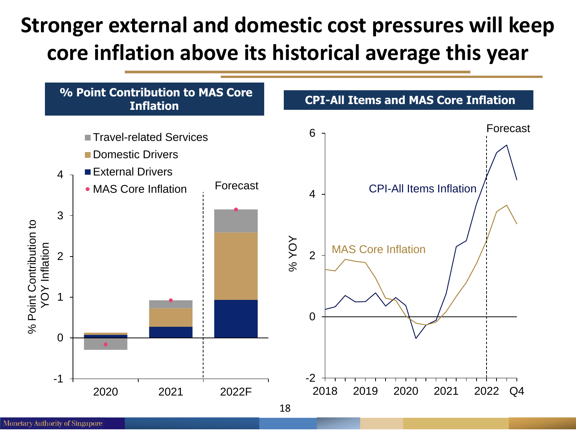## **Stronger external and domestic cost pressures will keep core inflation above its historical average this year**

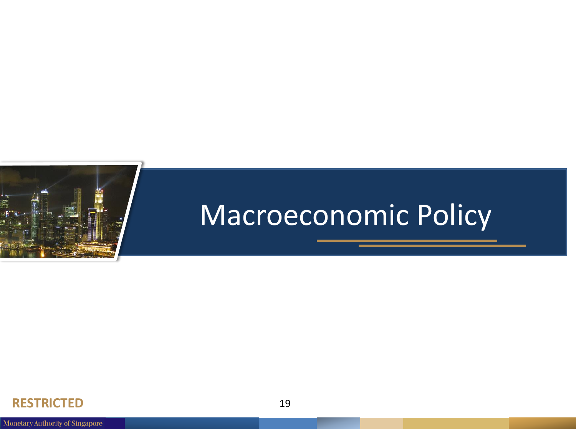

## Macroeconomic Policy

#### **RESTRICTED** 19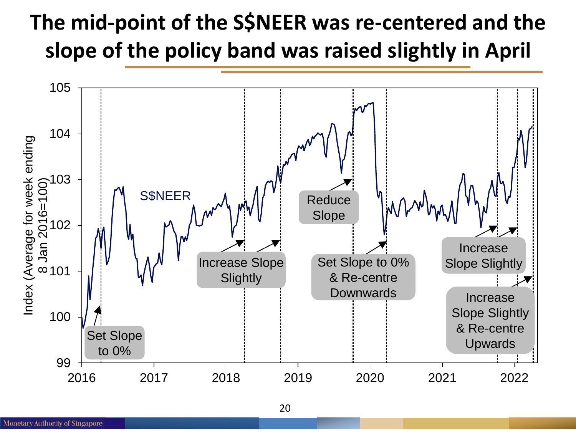## **The mid-point of the S\$NEER was re-centered and the slope of the policy band was raised slightly in April**